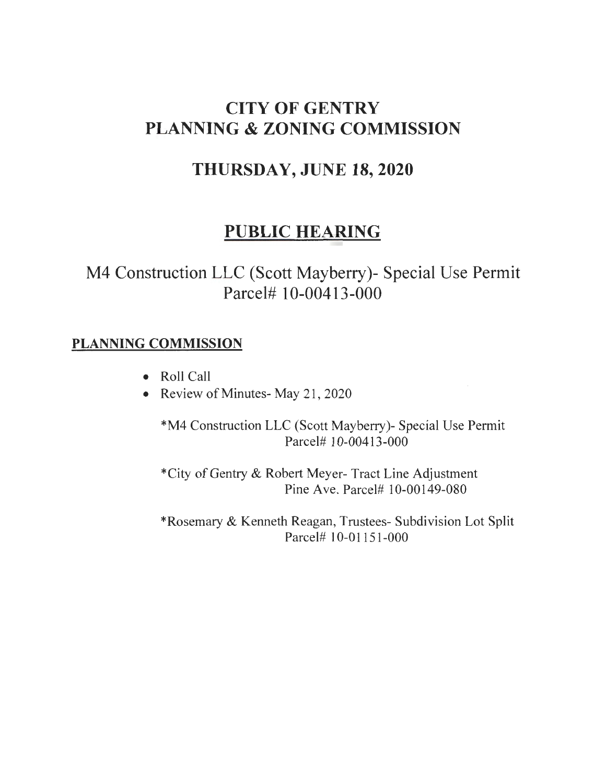# **CITY OF GENTRY PLANNING & ZONING COMMISSION**

## **THURSDAY, JUNE 18,2020**

# **PUBLIC HEARING**

M4 Construction LLC (Scott Mayberry)- Special Use Permit Parcel# 10-00413-000

### PLANNING COMMISSION

- Roll Call
- Review of Minutes- May 21, 2020

\*M4 Construction LLC (Scott Mayberry)- Special Use Permit Parcel# 10-00413-000

\*City of Gentry & Robert Meyer- Tract Line Adjustment Pine Ave. Parcel# 10-00149-080

\*Rosemary & Kenneth Reagan, Trustees- Subdivision Lot Split Parcel# 1 0-01151-000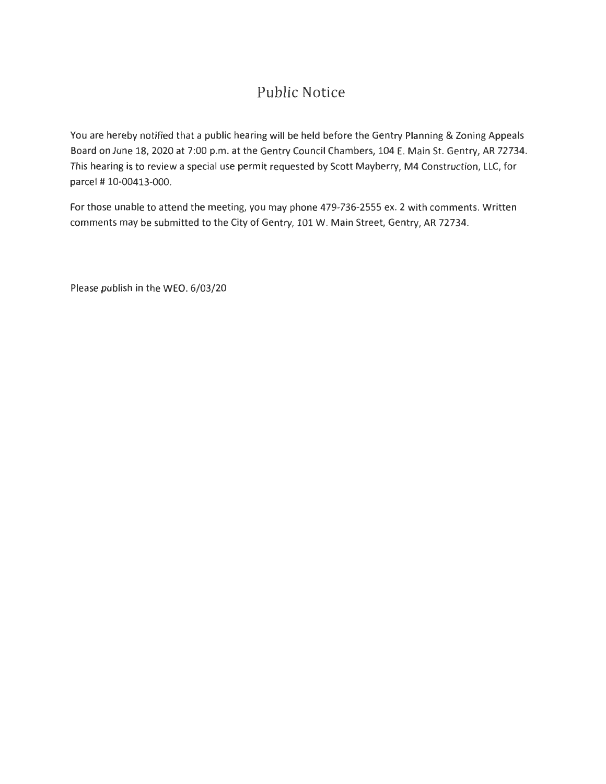### Public Notice

You are hereby notified that a public hearing will be held before the Gentry Planning & Zoning Appeals Board on June 18, 2020 at 7:00 p.m. at the Gentry Council Chambers, 104 E. Main St. Gentry, AR 72734. This hearing is to review a special use permit requested by Scott Mayberry, M4 Construction, LLC, for parcel# 10-00413-000.

For those unable to attend the meeting, you may phone 479-736-2555 ex. 2 with comments. Written comments may be submitted to the City of Gentry, 101 W. Main Street, Gentry, AR 72734.

Please publish in the WEO. 6/03/20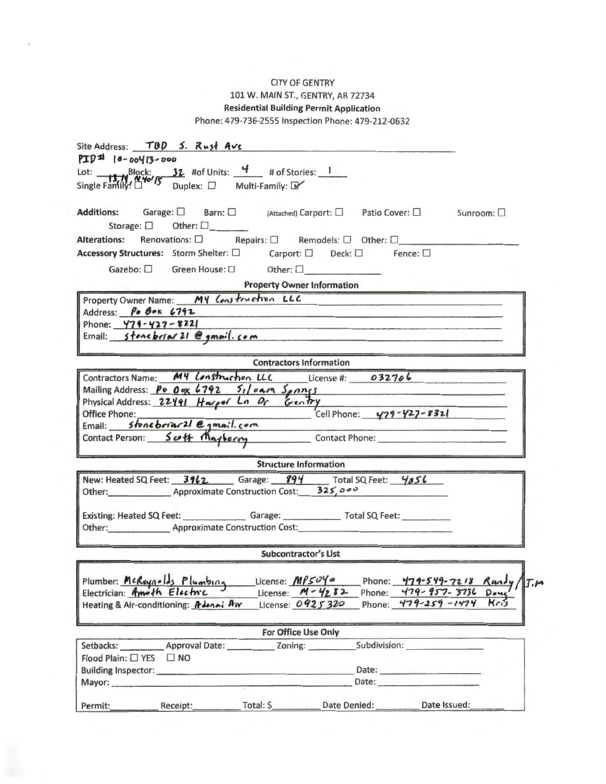#### CITY OF GENTRY 101 W. MAIN ST., GENTRY, AR 72734 Residential Building Permit Application

Phone: 479-736-2555 Inspection Phone: 479-212-0632

| Site Address: TOD 5. Rust Ave                                                                                                                                                                                                                                                                                                                                                                                                                                         |  |  |  |  |  |  |
|-----------------------------------------------------------------------------------------------------------------------------------------------------------------------------------------------------------------------------------------------------------------------------------------------------------------------------------------------------------------------------------------------------------------------------------------------------------------------|--|--|--|--|--|--|
| $PTD^{\pm 1}$   0 - 004(3 - 000                                                                                                                                                                                                                                                                                                                                                                                                                                       |  |  |  |  |  |  |
| Lot: <b>13.1</b> Block: <b>32</b> #of Units: $\frac{4}{13}$ # of Stories: 1<br>Single Family! $\frac{4}{13}$ Duplex: $\Box$ Multi-Family: $\Box$                                                                                                                                                                                                                                                                                                                      |  |  |  |  |  |  |
|                                                                                                                                                                                                                                                                                                                                                                                                                                                                       |  |  |  |  |  |  |
|                                                                                                                                                                                                                                                                                                                                                                                                                                                                       |  |  |  |  |  |  |
| Additions: Garage: □ Barn: □ (Attached) Carport: □ Patio Cover: □ Sunroom: □                                                                                                                                                                                                                                                                                                                                                                                          |  |  |  |  |  |  |
| Storage: $\square$ Other: $\square$                                                                                                                                                                                                                                                                                                                                                                                                                                   |  |  |  |  |  |  |
| Alterations: Renovations: □ Repairs: □ Remodels: □ Other: □                                                                                                                                                                                                                                                                                                                                                                                                           |  |  |  |  |  |  |
| Accessory Structures: Storm Shelter: □ Carport: □ Deck: □ Fence: □                                                                                                                                                                                                                                                                                                                                                                                                    |  |  |  |  |  |  |
| Gazebo: $\square$ Green House: $\square$ Other: $\square$                                                                                                                                                                                                                                                                                                                                                                                                             |  |  |  |  |  |  |
| <b>Property Owner Information</b>                                                                                                                                                                                                                                                                                                                                                                                                                                     |  |  |  |  |  |  |
| Property Owner Name: MY Construction LLC                                                                                                                                                                                                                                                                                                                                                                                                                              |  |  |  |  |  |  |
| Address: $\beta \cdot \beta \cdot \kappa$ 6792<br>the company of the company of the company of the company of the company of the company of the company of the company of the company of the company of the company of the company of the company of the company of the company                                                                                                                                                                                       |  |  |  |  |  |  |
| Phone: $479 - 427 - 8221$<br><u> 1989 - André Alexandria (h. 1989).</u>                                                                                                                                                                                                                                                                                                                                                                                               |  |  |  |  |  |  |
| Email: stone briar 21 @ gmail.com                                                                                                                                                                                                                                                                                                                                                                                                                                     |  |  |  |  |  |  |
| <b>Contractors Information</b>                                                                                                                                                                                                                                                                                                                                                                                                                                        |  |  |  |  |  |  |
| Contractors Name: M4 Lonstruction LLC License #: 032706                                                                                                                                                                                                                                                                                                                                                                                                               |  |  |  |  |  |  |
| Mailing Address: $P_0$ $O_{\alpha}$ 6792 $51/9$ am $5 \rho n n s$                                                                                                                                                                                                                                                                                                                                                                                                     |  |  |  |  |  |  |
| Physical Address: 22491 Harpor La Dr Gentry                                                                                                                                                                                                                                                                                                                                                                                                                           |  |  |  |  |  |  |
| Cell Phone: 479-427-8321<br>Office Phone:                                                                                                                                                                                                                                                                                                                                                                                                                             |  |  |  |  |  |  |
| Office Phone:<br>Email: Stone briar 21 @ gmail.com                                                                                                                                                                                                                                                                                                                                                                                                                    |  |  |  |  |  |  |
| Contact Person: Sutt Mayberry Contact Phone:                                                                                                                                                                                                                                                                                                                                                                                                                          |  |  |  |  |  |  |
|                                                                                                                                                                                                                                                                                                                                                                                                                                                                       |  |  |  |  |  |  |
| <b>Structure Information</b>                                                                                                                                                                                                                                                                                                                                                                                                                                          |  |  |  |  |  |  |
| New: Heated SQ Feet: 3962. Garage: 894 Total SQ Feet: 4856                                                                                                                                                                                                                                                                                                                                                                                                            |  |  |  |  |  |  |
| Other: Approximate Construction Cost: 325,000                                                                                                                                                                                                                                                                                                                                                                                                                         |  |  |  |  |  |  |
|                                                                                                                                                                                                                                                                                                                                                                                                                                                                       |  |  |  |  |  |  |
| Existing: Heated SQ Feet: Garage: Total SQ Feet:<br>Other: Approximate Construction Cost:                                                                                                                                                                                                                                                                                                                                                                             |  |  |  |  |  |  |
|                                                                                                                                                                                                                                                                                                                                                                                                                                                                       |  |  |  |  |  |  |
| <b>Subcontractor's List</b>                                                                                                                                                                                                                                                                                                                                                                                                                                           |  |  |  |  |  |  |
|                                                                                                                                                                                                                                                                                                                                                                                                                                                                       |  |  |  |  |  |  |
| Plumber: McRoynolds Plumbing License: MP5040 Phone: 479-549-7218 Rundy T.M                                                                                                                                                                                                                                                                                                                                                                                            |  |  |  |  |  |  |
| License: M-4282 Phone: 479-957-3736 Doug<br>Electrician: Amoth Electric                                                                                                                                                                                                                                                                                                                                                                                               |  |  |  |  |  |  |
| License: 0925320 Phone: 479-259-1474<br>Kris<br>Heating & Air-conditioning: Adenni Av                                                                                                                                                                                                                                                                                                                                                                                 |  |  |  |  |  |  |
|                                                                                                                                                                                                                                                                                                                                                                                                                                                                       |  |  |  |  |  |  |
| For Office Use Only                                                                                                                                                                                                                                                                                                                                                                                                                                                   |  |  |  |  |  |  |
| Setbacks: Approval Date: _______________ Zoning: _________                                                                                                                                                                                                                                                                                                                                                                                                            |  |  |  |  |  |  |
| Flood Plain: [ YES   NO                                                                                                                                                                                                                                                                                                                                                                                                                                               |  |  |  |  |  |  |
| Date: and the contract of the contract of the contract of the contract of the contract of the contract of the contract of the contract of the contract of the contract of the contract of the contract of the contract of the<br>Building Inspector: <u>contains and a series of the series of the series of the series of the series of the series of the series of the series of the series of the series of the series of the series of the series of the seri</u> |  |  |  |  |  |  |
| Date:<br>Mayor:                                                                                                                                                                                                                                                                                                                                                                                                                                                       |  |  |  |  |  |  |
| Date Issued:<br>Total: \$<br>Date Denied:<br>Receipt:<br>Permit:                                                                                                                                                                                                                                                                                                                                                                                                      |  |  |  |  |  |  |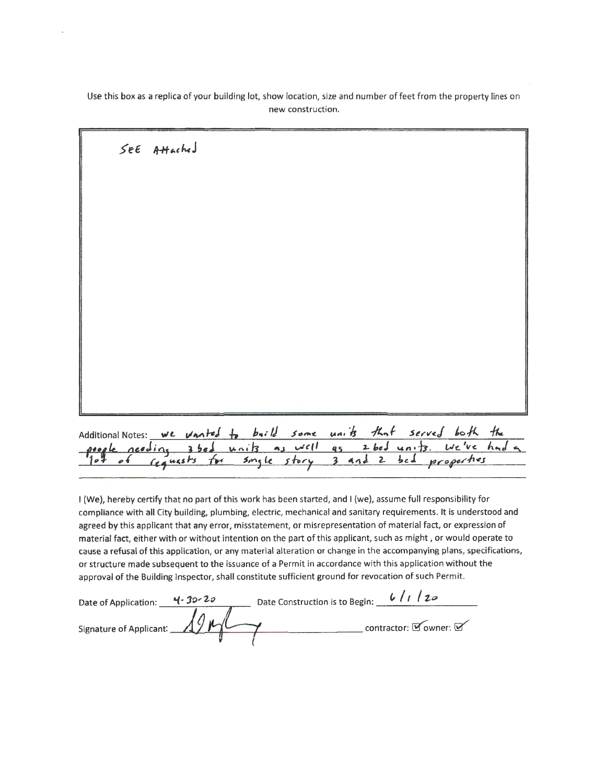Use this box as a replica of your building lot, show location, size and number of feet from the property lines on new construction.

| SEE Attached                                                         |  |  |  |
|----------------------------------------------------------------------|--|--|--|
|                                                                      |  |  |  |
|                                                                      |  |  |  |
|                                                                      |  |  |  |
|                                                                      |  |  |  |
|                                                                      |  |  |  |
|                                                                      |  |  |  |
|                                                                      |  |  |  |
| Additional Notes: we vanted to buill some units that served both the |  |  |  |

I (We), hereby certify that no part of this work has been started, and I (we), assume full responsibility for compliance with all City building, plumbing, electric, mechanical and sanitary requirements. It is understood and agreed by this applicant that any error, misstatement, or misrepresentation of material fact, or expression of material fact, either with or without intention on the part of this applicant, such as might, or would operate to cause a refusal of this application, or any material alteration or change in the accompanying plans, specifications, or structure made subsequent to the issuance of a Permit in accordance with this application without the approval of the Building Inspector, shall constitute sufficient ground for revocation of such Permit.

properties

 $\mathbf{2}$ 

 $3$  and

 $bc4$ 

| Date of Application:          | $4 - 30 - 20$ | Date Construction is to Begin: | 6/1<br>120            |
|-------------------------------|---------------|--------------------------------|-----------------------|
| "ignature of Applicant: 19 MM |               |                                | contractor: Downer: D |

single story

 $7.4$ 

 $\epsilon$ 

Cequests

 $\mathbf{r}$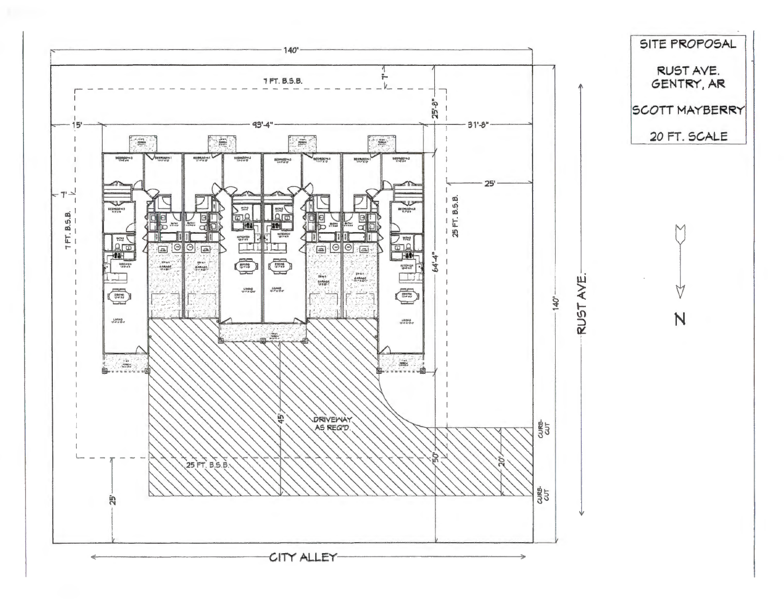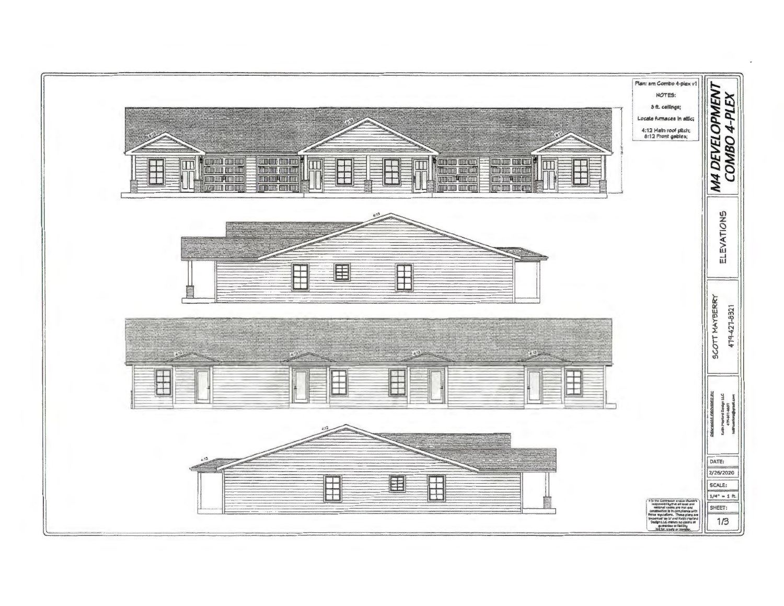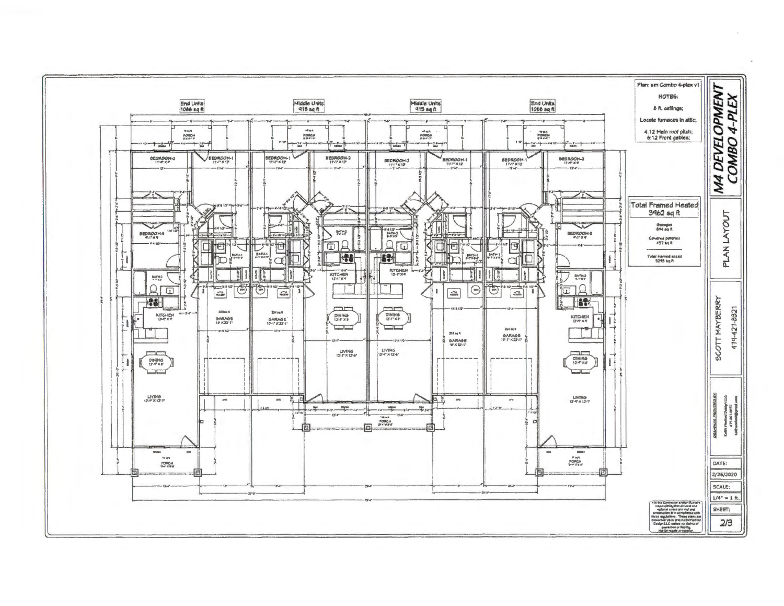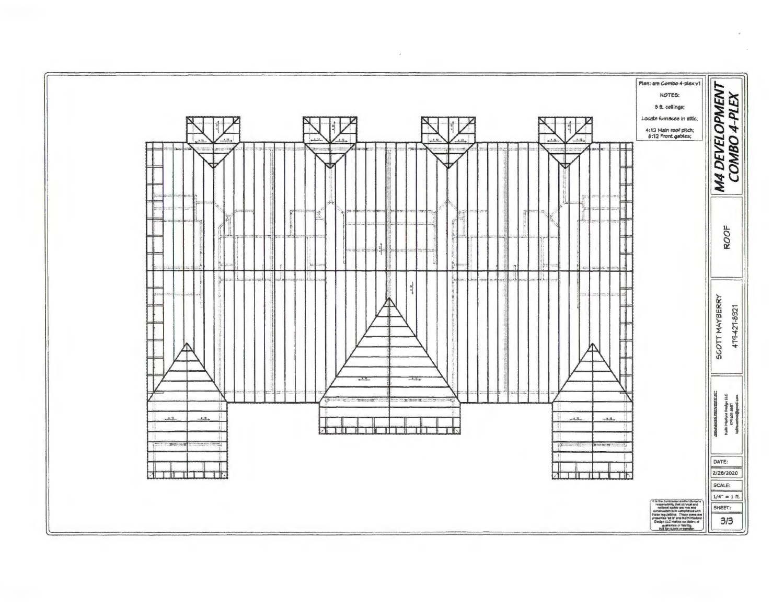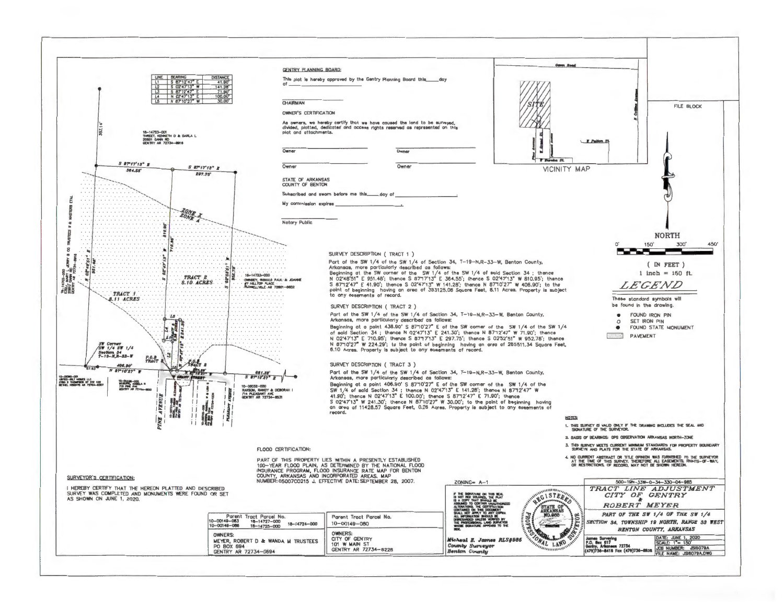